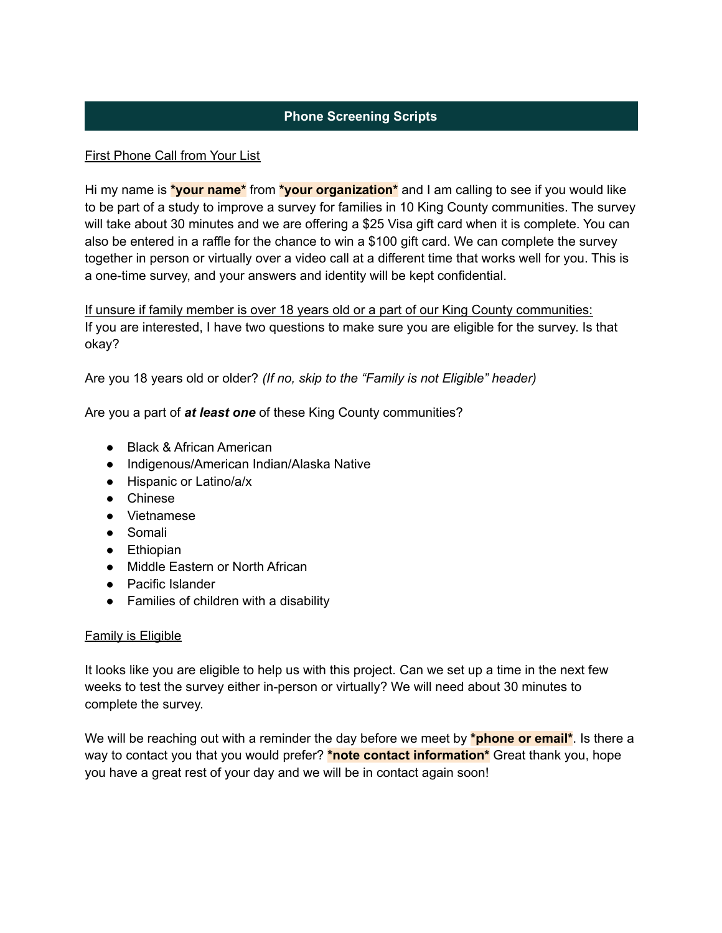# **Phone Screening Scripts**

## First Phone Call from Your List

Hi my name is **\*your name\*** from **\*your organization\*** and I am calling to see if you would like to be part of a study to improve a survey for families in 10 King County communities. The survey will take about 30 minutes and we are offering a \$25 Visa gift card when it is complete. You can also be entered in a raffle for the chance to win a \$100 gift card. We can complete the survey together in person or virtually over a video call at a different time that works well for you. This is a one-time survey, and your answers and identity will be kept confidential.

If unsure if family member is over 18 years old or a part of our King County communities: If you are interested, I have two questions to make sure you are eligible for the survey. Is that okay?

Are you 18 years old or older? *(If no, skip to the "Family is not Eligible" header)*

Are you a part of *at least one* of these King County communities?

- Black & African American
- Indigenous/American Indian/Alaska Native
- Hispanic or Latino/a/x
- Chinese
- Vietnamese
- Somali
- Ethiopian
- Middle Eastern or North African
- Pacific Islander
- Families of children with a disability

## Family is Eligible

It looks like you are eligible to help us with this project. Can we set up a time in the next few weeks to test the survey either in-person or virtually? We will need about 30 minutes to complete the survey.

We will be reaching out with a reminder the day before we meet by **\*phone or email\***. Is there a way to contact you that you would prefer? **\*note contact information\*** Great thank you, hope you have a great rest of your day and we will be in contact again soon!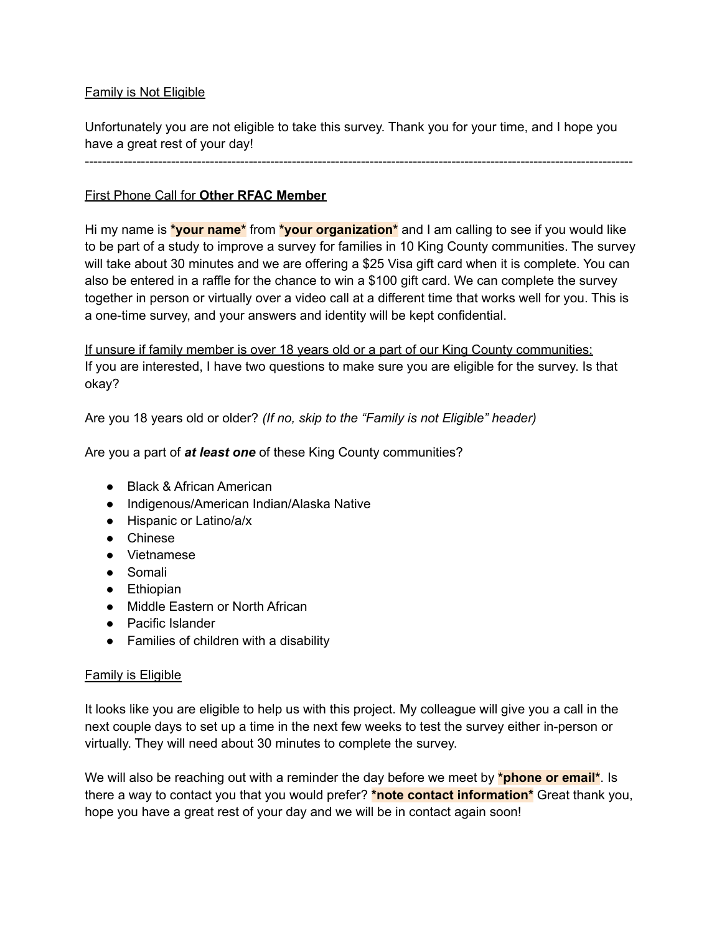# Family is Not Eligible

Unfortunately you are not eligible to take this survey. Thank you for your time, and I hope you have a great rest of your day!

-------------------------------------------------------------------------------------------------------------------------------

# First Phone Call for **Other RFAC Member**

Hi my name is **\*your name\*** from **\*your organization\*** and I am calling to see if you would like to be part of a study to improve a survey for families in 10 King County communities. The survey will take about 30 minutes and we are offering a \$25 Visa gift card when it is complete. You can also be entered in a raffle for the chance to win a \$100 gift card. We can complete the survey together in person or virtually over a video call at a different time that works well for you. This is a one-time survey, and your answers and identity will be kept confidential.

If unsure if family member is over 18 years old or a part of our King County communities: If you are interested, I have two questions to make sure you are eligible for the survey. Is that okay?

Are you 18 years old or older? *(If no, skip to the "Family is not Eligible" header)*

Are you a part of *at least one* of these King County communities?

- Black & African American
- Indigenous/American Indian/Alaska Native
- Hispanic or Latino/a/x
- Chinese
- Vietnamese
- Somali
- Ethiopian
- Middle Eastern or North African
- Pacific Islander
- Families of children with a disability

## Family is Eligible

It looks like you are eligible to help us with this project. My colleague will give you a call in the next couple days to set up a time in the next few weeks to test the survey either in-person or virtually. They will need about 30 minutes to complete the survey.

We will also be reaching out with a reminder the day before we meet by **\*phone or email\***. Is there a way to contact you that you would prefer? **\*note contact information\*** Great thank you, hope you have a great rest of your day and we will be in contact again soon!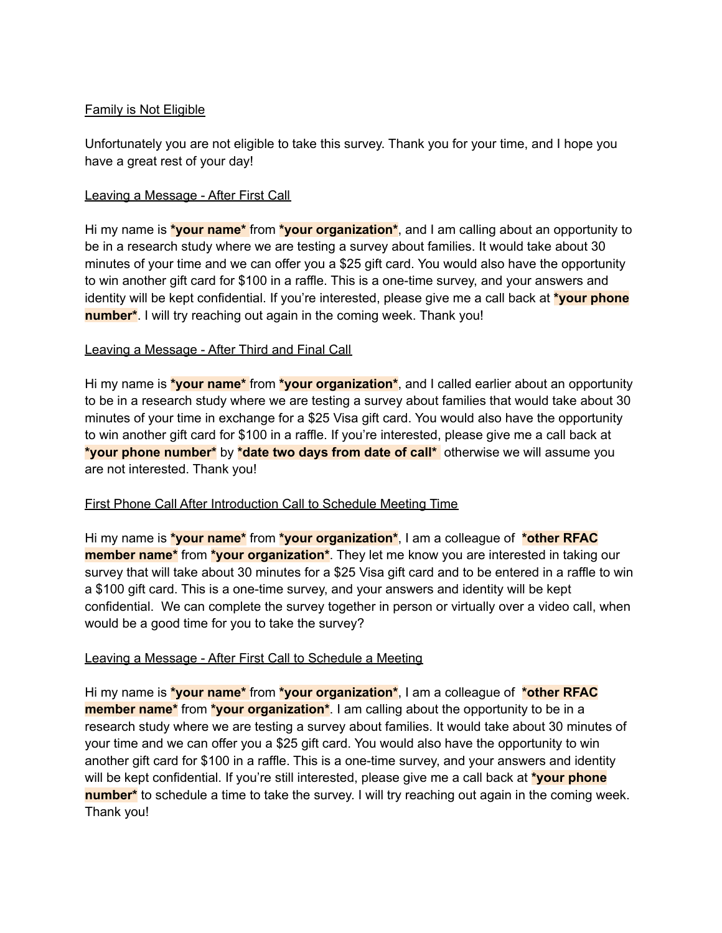# Family is Not Eligible

Unfortunately you are not eligible to take this survey. Thank you for your time, and I hope you have a great rest of your day!

## Leaving a Message - After First Call

Hi my name is **\*your name\*** from **\*your organization\***, and I am calling about an opportunity to be in a research study where we are testing a survey about families. It would take about 30 minutes of your time and we can offer you a \$25 gift card. You would also have the opportunity to win another gift card for \$100 in a raffle. This is a one-time survey, and your answers and identity will be kept confidential. If you're interested, please give me a call back at **\*your phone number<sup>\*</sup>**. I will try reaching out again in the coming week. Thank you!

# Leaving a Message - After Third and Final Call

Hi my name is **\*your name\*** from **\*your organization\***, and I called earlier about an opportunity to be in a research study where we are testing a survey about families that would take about 30 minutes of your time in exchange for a \$25 Visa gift card. You would also have the opportunity to win another gift card for \$100 in a raffle. If you're interested, please give me a call back at **\*your phone number\*** by **\*date two days from date of call\*** otherwise we will assume you are not interested. Thank you!

## First Phone Call After Introduction Call to Schedule Meeting Time

Hi my name is **\*your name\*** from **\*your organization\***, I am a colleague of **\*other RFAC member name\*** from **\*your organization\***. They let me know you are interested in taking our survey that will take about 30 minutes for a \$25 Visa gift card and to be entered in a raffle to win a \$100 gift card. This is a one-time survey, and your answers and identity will be kept confidential. We can complete the survey together in person or virtually over a video call, when would be a good time for you to take the survey?

## Leaving a Message - After First Call to Schedule a Meeting

Hi my name is **\*your name\*** from **\*your organization\***, I am a colleague of **\*other RFAC member name\*** from **\*your organization\***. I am calling about the opportunity to be in a research study where we are testing a survey about families. It would take about 30 minutes of your time and we can offer you a \$25 gift card. You would also have the opportunity to win another gift card for \$100 in a raffle. This is a one-time survey, and your answers and identity will be kept confidential. If you're still interested, please give me a call back at **\*your phone number\*** to schedule a time to take the survey. I will try reaching out again in the coming week. Thank you!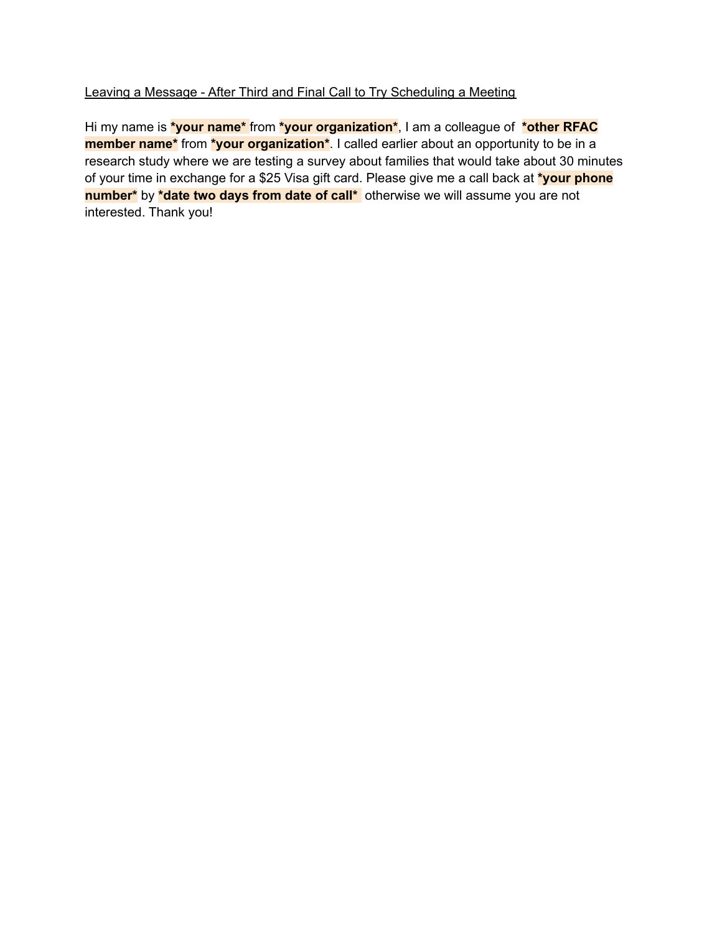# Leaving a Message - After Third and Final Call to Try Scheduling a Meeting

Hi my name is **\*your name\*** from **\*your organization\***, I am a colleague of **\*other RFAC member name\*** from **\*your organization\***. I called earlier about an opportunity to be in a research study where we are testing a survey about families that would take about 30 minutes of your time in exchange for a \$25 Visa gift card. Please give me a call back at **\*your phone number\*** by **\*date two days from date of call\*** otherwise we will assume you are not interested. Thank you!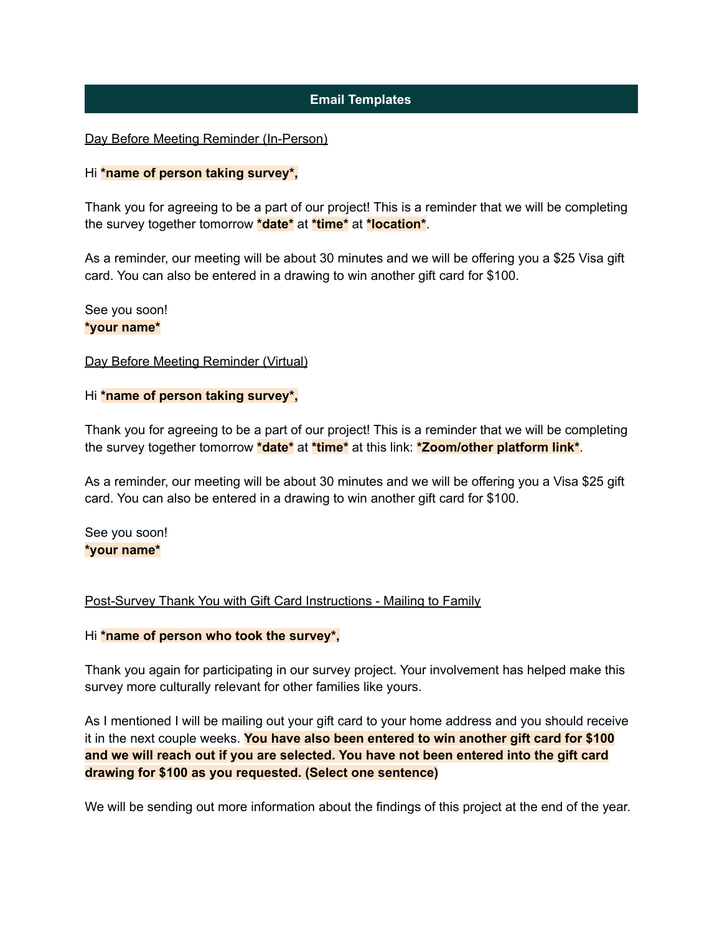# **Email Templates**

### Day Before Meeting Reminder (In-Person)

#### Hi **\*name of person taking survey\*,**

Thank you for agreeing to be a part of our project! This is a reminder that we will be completing the survey together tomorrow **\*date\*** at **\*time\*** at **\*location\***.

As a reminder, our meeting will be about 30 minutes and we will be offering you a \$25 Visa gift card. You can also be entered in a drawing to win another gift card for \$100.

#### See you soon! **\*your name\***

#### Day Before Meeting Reminder (Virtual)

#### Hi **\*name of person taking survey\*,**

Thank you for agreeing to be a part of our project! This is a reminder that we will be completing the survey together tomorrow **\*date\*** at **\*time\*** at this link: **\*Zoom/other platform link\***.

As a reminder, our meeting will be about 30 minutes and we will be offering you a Visa \$25 gift card. You can also be entered in a drawing to win another gift card for \$100.

See you soon! **\*your name\***

#### Post-Survey Thank You with Gift Card Instructions - Mailing to Family

#### Hi **\*name of person who took the survey\*,**

Thank you again for participating in our survey project. Your involvement has helped make this survey more culturally relevant for other families like yours.

As I mentioned I will be mailing out your gift card to your home address and you should receive it in the next couple weeks. **You have also been entered to win another gift card for \$100 and we will reach out if you are selected. You have not been entered into the gift card drawing for \$100 as you requested. (Select one sentence)**

We will be sending out more information about the findings of this project at the end of the year.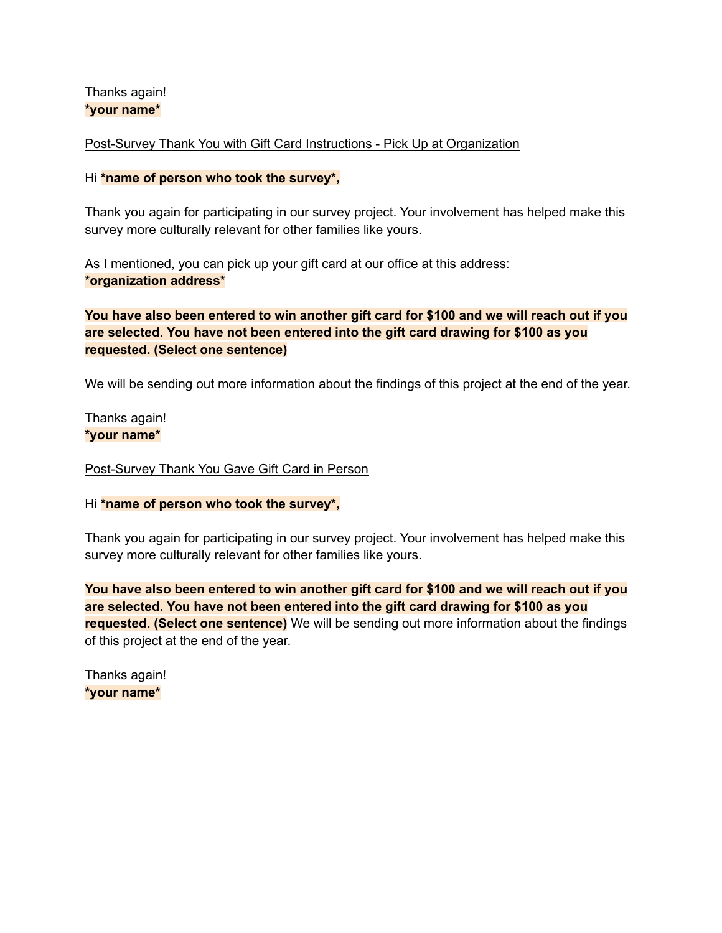Thanks again! **\*your name\***

Post-Survey Thank You with Gift Card Instructions - Pick Up at Organization

### Hi **\*name of person who took the survey\*,**

Thank you again for participating in our survey project. Your involvement has helped make this survey more culturally relevant for other families like yours.

As I mentioned, you can pick up your gift card at our office at this address: **\*organization address\***

# **You have also been entered to win another gift card for \$100 and we will reach out if you are selected. You have not been entered into the gift card drawing for \$100 as you requested. (Select one sentence)**

We will be sending out more information about the findings of this project at the end of the year.

Thanks again! **\*your name\***

#### Post-Survey Thank You Gave Gift Card in Person

#### Hi **\*name of person who took the survey\*,**

Thank you again for participating in our survey project. Your involvement has helped make this survey more culturally relevant for other families like yours.

**You have also been entered to win another gift card for \$100 and we will reach out if you are selected. You have not been entered into the gift card drawing for \$100 as you requested. (Select one sentence)** We will be sending out more information about the findings of this project at the end of the year.

Thanks again! **\*your name\***